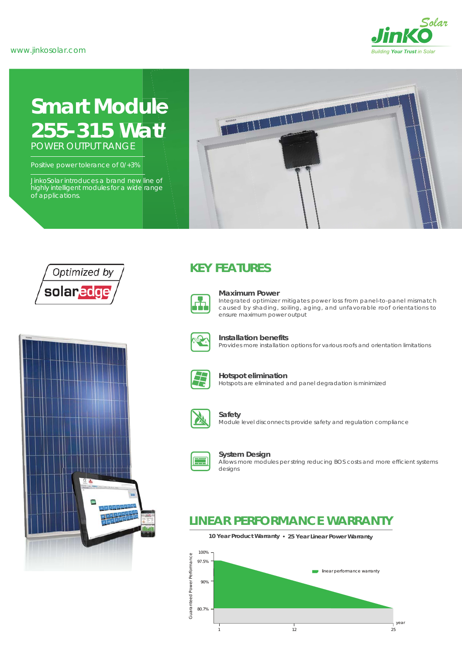

# **Smart Module** *255-315 Watt* POWER OUTPUT RANGE

Positive power tolerance of 0/+3%

JinkoSolar introduces a brand new line of highly intelligent modules for a wide range of applications.







### **KEY FEATURES**



#### **Maximum Power**

Integrated optimizer mitigates power loss from panel-to-panel mismatch caused by shading, soiling, aging, and unfavorable roof orientations to ensure maximum power output



#### **Installation benefits**

Provides more installation options for various roofs and orientation limitations



#### **Hotspot elimination**

Hotspots are eliminated and panel degradation is minimized



### **Safety**

Module level disconnects provide safety and regulation compliance



#### **System Design**

Allows more modules per string reducing BOS costs and more efficient systems designs

### **LINEAR PERFORMANCE WARRANTY**

**10 Year Product Warranty 25 Year Linear Power Warranty**

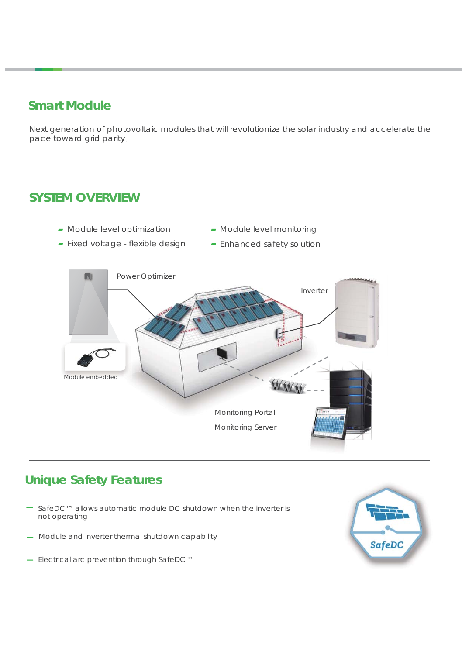## **Smart Module**

Next generation of photovoltaic modules that will revolutionize the solar industry and accelerate the pace toward grid parity.

### **SYSTEM OVERVIEW**

- Module level optimization
- Module level monitoring
- Fixed voltage flexible design
- Enhanced safety solution



## **Unique Safety Features**

- ̶ SafeDC™ allows automatic module DC shutdown when the inverter is not operating
- Module and inverter thermal shutdown capability
- ̶ Electrical arc prevention through SafeDC™

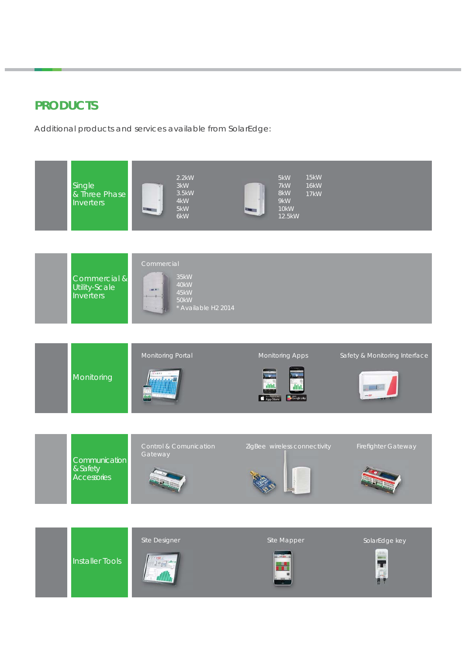## **PRODUCTS**

Additional products and services available from SolarEdge:

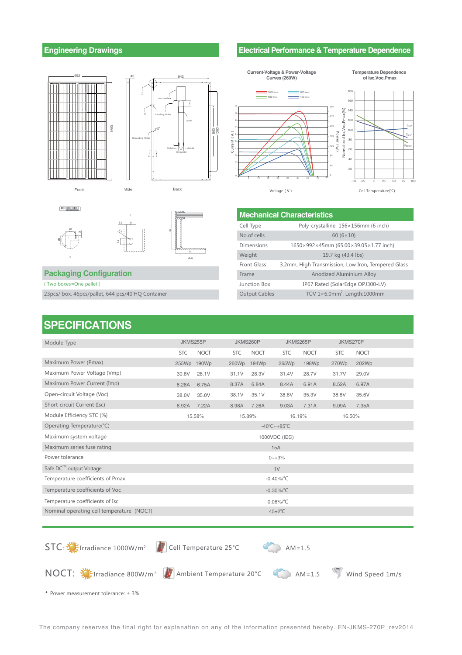### **Engineering Drawings**





4.5



Front



35

### **Packaging Configuration**

(Two boxes=One pallet)

23pcs/box, 46pcs/pallet, 644 pcs/40'HQ Container

### **Electrical Performance & Temperature Dependence**



| <b>Mechanical Characteristics</b> |                                                     |  |  |  |  |  |  |
|-----------------------------------|-----------------------------------------------------|--|--|--|--|--|--|
| Cell Type                         | Poly-crystalline 156×156mm (6 inch)                 |  |  |  |  |  |  |
| No.of cells                       | $60(6\times10)$                                     |  |  |  |  |  |  |
| <b>Dimensions</b>                 | 1650×992×45mm (65.00×39.05×1.77 inch)               |  |  |  |  |  |  |
| Weight                            | 19.7 kg (43.4 lbs)                                  |  |  |  |  |  |  |
| <b>Front Glass</b>                | 3.2mm, High Transmission, Low Iron, Tempered Glass  |  |  |  |  |  |  |
| Frame                             | Anodized Aluminium Alloy                            |  |  |  |  |  |  |
| Junction Box                      | IP67 Rated (SolarEdge OPJ300-LV)                    |  |  |  |  |  |  |
| <b>Output Cables</b>              | TÜV $1 \times 6.0$ mm <sup>2</sup> , Length: 1000mm |  |  |  |  |  |  |

### **SPECIFICATIONS**

| Module Type                               | JKMS255P                           |                      |            | JKMS260P    |            | JKMS265P    |            | JKMS270P    |  |
|-------------------------------------------|------------------------------------|----------------------|------------|-------------|------------|-------------|------------|-------------|--|
|                                           | <b>STC</b>                         | <b>NOCT</b>          | <b>STC</b> | <b>NOCT</b> | <b>STC</b> | <b>NOCT</b> | <b>STC</b> | <b>NOCT</b> |  |
| Maximum Power (Pmax)                      | 255Wp                              | 190Wp                | 260Wp      | 194Wp       | 265Wp      | 198Wp       | 270Wp      | 202Wp       |  |
| Maximum Power Voltage (Vmp)               | 30.8V                              | 28.1V                | 31.1V      | 28.3V       | 31.4V      | 28.7V       | 31.7V      | 29.0V       |  |
| Maximum Power Current (Imp)               | 8.28A                              | 6.75A                | 8.37A      | 6.84A       | 8.44A      | 6.91A       | 8.52A      | 6.97A       |  |
| Open-circuit Voltage (Voc)                | 38.0V                              | 35.0V                | 38.1V      | 35.1V       | 38.6V      | 35.3V       | 38.8V      | 35.6V       |  |
| Short-circuit Current (Isc)               | 8.92A                              | 7.22A                | 8.98A      | 7.26A       | 9.03A      | 7.31A       | 9.09A      | 7.35A       |  |
| Module Efficiency STC (%)                 | 15.58%                             |                      |            | 15.89%      |            | 16.19%      |            | 16.50%      |  |
| Operating Temperature(°C)                 | $-40^{\circ}$ C ~ +85 $^{\circ}$ C |                      |            |             |            |             |            |             |  |
| Maximum system voltage                    | 1000VDC (IEC)                      |                      |            |             |            |             |            |             |  |
| Maximum series fuse rating<br>15A         |                                    |                      |            |             |            |             |            |             |  |
| Power tolerance                           | $0 - +3%$                          |                      |            |             |            |             |            |             |  |
| Safe DC™ output Voltage                   | 1V                                 |                      |            |             |            |             |            |             |  |
| Temperature coefficients of Pmax          | $-0.40\%$ $^{\circ}$ C             |                      |            |             |            |             |            |             |  |
| Temperature coefficients of Voc           | $-0.30\%/^{\circ}C$                |                      |            |             |            |             |            |             |  |
| Temperature coefficients of Isc           | $0.06\%/°C$                        |                      |            |             |            |             |            |             |  |
| Nominal operating cell temperature (NOCT) |                                    | $45 \pm 2^{\circ}$ C |            |             |            |             |            |             |  |
|                                           |                                    |                      |            |             |            |             |            |             |  |

 $STC: M^2$  Irradiance 1000W/m<sup>2</sup> AM=1.5

NOCT:  $\sum$  Irradiance 800W/m<sup>2</sup> Ambient Temperature 20°C AM=1.5



Wind Speed 1m/s

\* Power measurement tolerance: ±3%